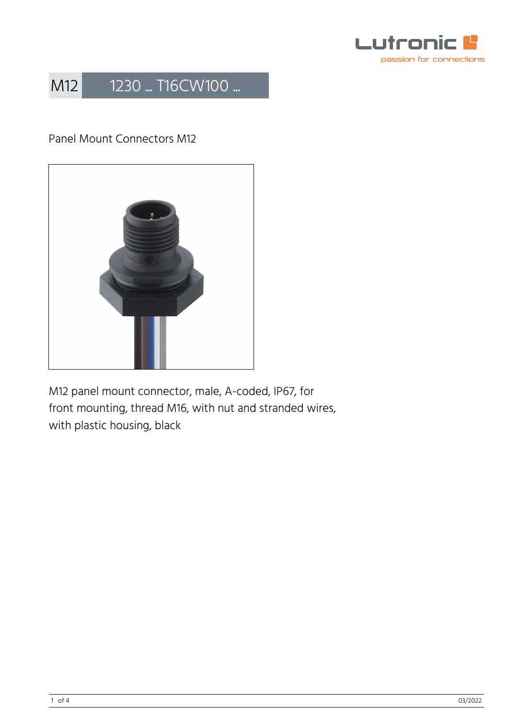

### Panel Mount Connectors M12



M12 panel mount connector, male, A-coded, IP67, for front mounting, thread M16, with nut and stranded wires, with plastic housing, black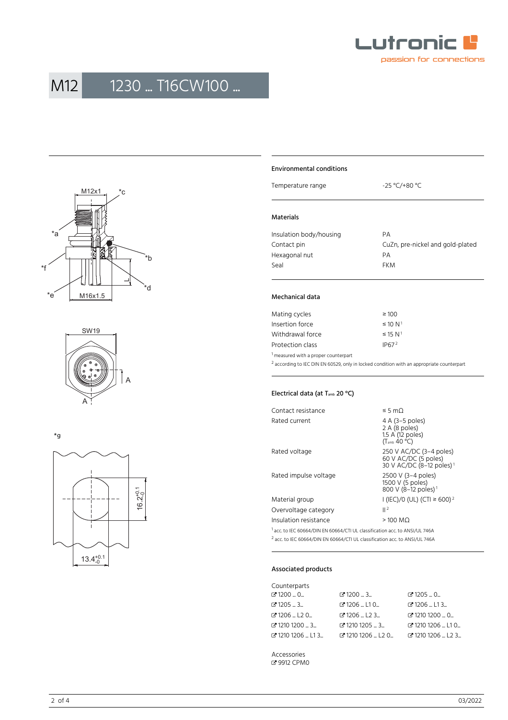





\*g



#### Environmental conditions

Temperature range  $-25 \text{ °C}$ /+80 °C

#### Materials

| Insulation body/housing | PА                               |
|-------------------------|----------------------------------|
| Contact pin             | CuZn, pre-nickel and gold-plated |
| Hexagonal nut           | PА                               |
| Seal                    | <b>FKM</b>                       |
|                         |                                  |

#### Mechanical data

| Mating cycles                                   | $\geq 100$               |
|-------------------------------------------------|--------------------------|
| Insertion force                                 | $\leq 10 N^1$            |
| Withdrawal force                                | $\leq$ 15 N <sup>1</sup> |
| Protection class                                | IP67 <sup>2</sup>        |
| <sup>1</sup> measured with a proper counterpart |                          |

 $^2$  according to IEC DIN EN 60529, only in locked condition with an appropriate counterpart

#### Electrical data (at T<sub>amb</sub> 20 °C)

| Contact resistance    | ≤ 5 mΩ                                                                                  |
|-----------------------|-----------------------------------------------------------------------------------------|
| Rated current         | 4 A (3–5 poles)<br>2 A (8 poles)<br>1.5 A (12 poles)<br>$(T_{amb}$ 40 °C)               |
| Rated voltage         | 250 V AC/DC (3-4 poles)<br>60 V AC/DC (5 poles)<br>30 V AC/DC (8-12 poles) <sup>1</sup> |
| Rated impulse voltage | 2500 V (3–4 poles)<br>1500 V (5 poles)<br>800 V (8-12 poles) <sup>1</sup>               |
| Material group        | I (IEC)/0 (UL) (CTI ≥ 600) <sup>2</sup>                                                 |
| Overvoltage category  | 2                                                                                       |
| Insulation resistance | $>100$ MQ                                                                               |
|                       |                                                                                         |

<sup>1</sup> acc. to IEC 60664/DIN EN 60664/CTI UL classification acc. to ANSI/UL 746A 2 acc. to IEC 60664/DIN EN 60664/CTI UL classification acc. to ANSI/UL 746A

#### Associated products

| Counterparts               |                           |                          |
|----------------------------|---------------------------|--------------------------|
| $C$ 1200  0                | $C$ 1200 $$ 3 $$          | $C$ 1205  0              |
| ි 1205 … 3…                | $C$ 1206  L10             | $C$ 1206  L13            |
| <b>ි</b> 1206  L2 0        | $Z$ 1206 $L$ 123 $L$      | ₫ 1210 1200  0           |
| で1210 1200 … 3…            | $C$ 1210 1205 $$ 3 $$     | <b>C</b> 1210 1206  L1 0 |
| <b>B</b> 1210 1206 L L1 3. | $C$ 1210 1206 $L$ L20 $L$ | □ 1210 1206  L2 3        |

Accessories � [9912 CPM0](https://www.lumberg.com/en/products/product/9912 CPM0)

2 of 4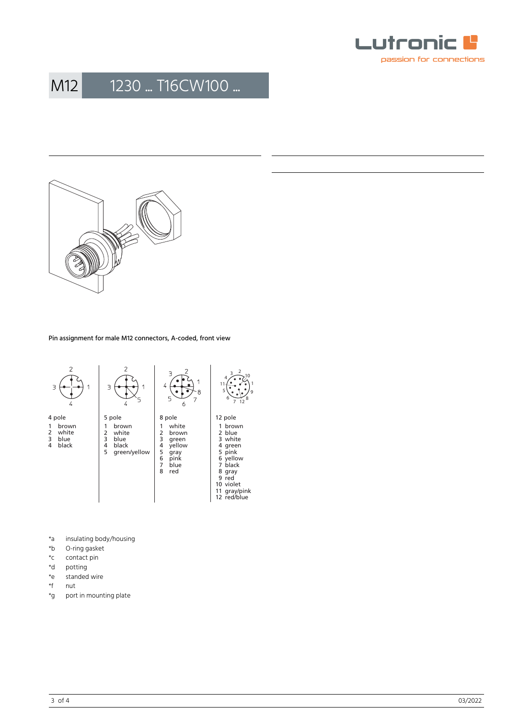



Pin assignment for male M12 connectors, A-coded, front view



- \*a insulating body/housing<br>\*b O-ring gasket
- O-ring gasket
- \*c contact pin<br>\*d potting
- \*d potting<br>\*e standed
- \*e standed wire<br>\*f nut
- 
- \*f nut<br>\*g port port in mounting plate